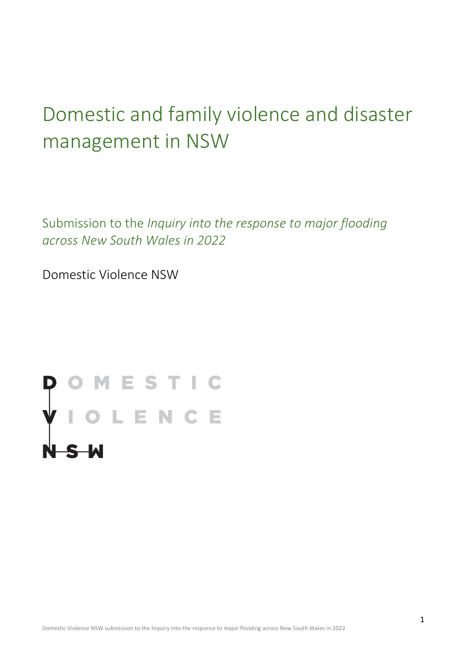# Domestic and family violence and disaster management in NSW

Submission to the *Inquiry into the response to major flooding across New South Wales in 2022*

Domestic Violence NSW

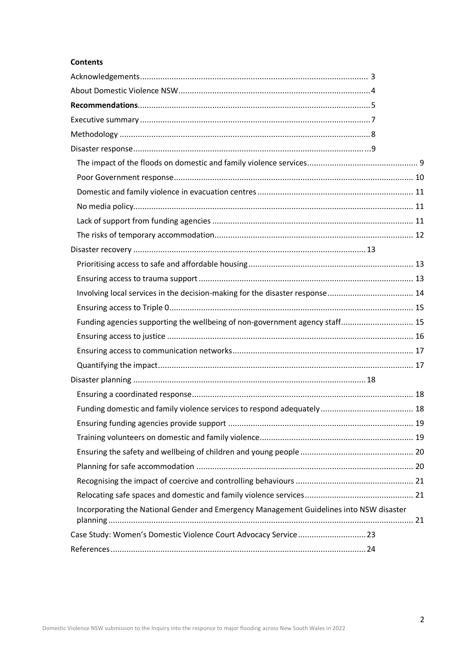#### **Contents**

| Funding agencies supporting the wellbeing of non-government agency staff 15             |  |
|-----------------------------------------------------------------------------------------|--|
|                                                                                         |  |
|                                                                                         |  |
|                                                                                         |  |
|                                                                                         |  |
|                                                                                         |  |
|                                                                                         |  |
|                                                                                         |  |
|                                                                                         |  |
|                                                                                         |  |
|                                                                                         |  |
|                                                                                         |  |
|                                                                                         |  |
| Incorporating the National Gender and Emergency Management Guidelines into NSW disaster |  |
| Case Study: Women's Domestic Violence Court Advocacy Service 23                         |  |
|                                                                                         |  |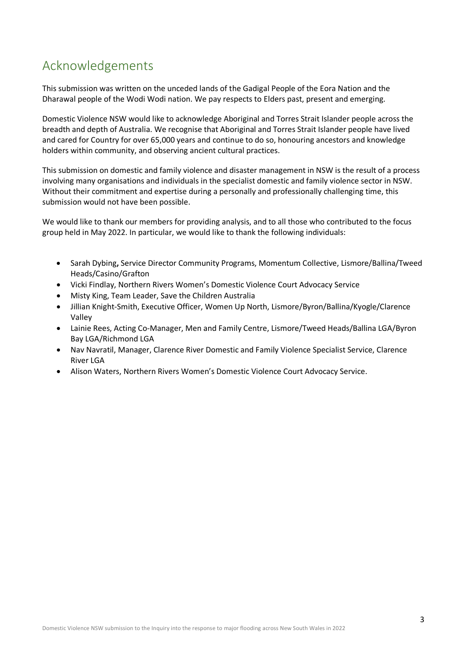# <span id="page-2-0"></span>Acknowledgements

This submission was written on the unceded lands of the Gadigal People of the Eora Nation and the Dharawal people of the Wodi Wodi nation. We pay respects to Elders past, present and emerging.

Domestic Violence NSW would like to acknowledge Aboriginal and Torres Strait Islander people across the breadth and depth of Australia. We recognise that Aboriginal and Torres Strait Islander people have lived and cared for Country for over 65,000 years and continue to do so, honouring ancestors and knowledge holders within community, and observing ancient cultural practices.

This submission on domestic and family violence and disaster management in NSW is the result of a process involving many organisations and individuals in the specialist domestic and family violence sector in NSW. Without their commitment and expertise during a personally and professionally challenging time, this submission would not have been possible.

We would like to thank our members for providing analysis, and to all those who contributed to the focus group held in May 2022. In particular, we would like to thank the following individuals:

- Sarah Dybing**,** Service Director Community Programs, Momentum Collective, Lismore/Ballina/Tweed Heads/Casino/Grafton
- Vicki Findlay, Northern Rivers Women's Domestic Violence Court Advocacy Service
- Misty King, Team Leader, Save the Children Australia
- Jillian Knight-Smith, Executive Officer, Women Up North, Lismore/Byron/Ballina/Kyogle/Clarence Valley
- Lainie Rees, Acting Co-Manager, Men and Family Centre, Lismore/Tweed Heads/Ballina LGA/Byron Bay LGA/Richmond LGA
- Nav Navratil, Manager, Clarence River Domestic and Family Violence Specialist Service, Clarence River LGA
- Alison Waters, Northern Rivers Women's Domestic Violence Court Advocacy Service.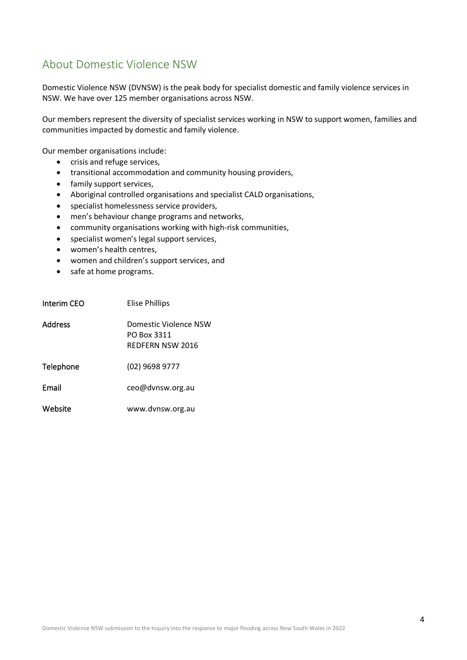## <span id="page-3-0"></span>About Domestic Violence NSW

Domestic Violence NSW (DVNSW) is the peak body for specialist domestic and family violence services in NSW. We have over 125 member organisations across NSW.

Our members represent the diversity of specialist services working in NSW to support women, families and communities impacted by domestic and family violence.

Our member organisations include:

- crisis and refuge services,
- transitional accommodation and community housing providers,
- family support services,
- Aboriginal controlled organisations and specialist CALD organisations,
- specialist homelessness service providers,
- men's behaviour change programs and networks,
- community organisations working with high-risk communities,
- specialist women's legal support services,
- women's health centres,
- women and children's support services, and
- safe at home programs.

| Interim CEO | Elise Phillips                                           |
|-------------|----------------------------------------------------------|
| Address     | Domestic Violence NSW<br>PO Box 3311<br>REDFERN NSW 2016 |
| Telephone   | (02) 9698 9777                                           |
| Email       | ceo@dvnsw.org.au                                         |
| Website     | www.dvnsw.org.au                                         |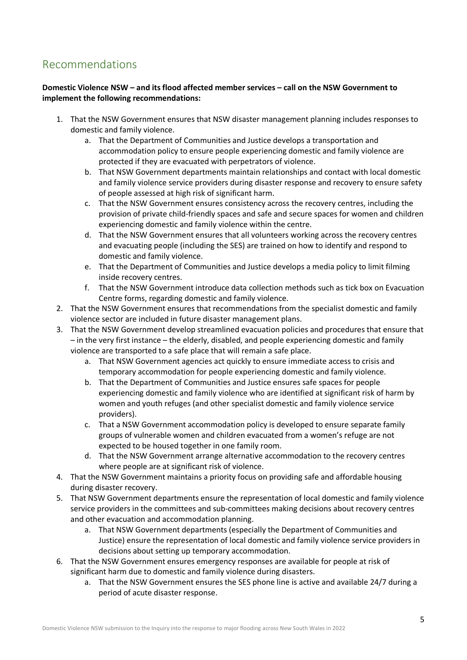# <span id="page-4-0"></span>Recommendations

#### **Domestic Violence NSW – and its flood affected member services – call on the NSW Government to implement the following recommendations:**

- 1. That the NSW Government ensures that NSW disaster management planning includes responses to domestic and family violence.
	- a. That the Department of Communities and Justice develops a transportation and accommodation policy to ensure people experiencing domestic and family violence are protected if they are evacuated with perpetrators of violence.
	- b. That NSW Government departments maintain relationships and contact with local domestic and family violence service providers during disaster response and recovery to ensure safety of people assessed at high risk of significant harm.
	- c. That the NSW Government ensures consistency across the recovery centres, including the provision of private child-friendly spaces and safe and secure spaces for women and children experiencing domestic and family violence within the centre.
	- d. That the NSW Government ensures that all volunteers working across the recovery centres and evacuating people (including the SES) are trained on how to identify and respond to domestic and family violence.
	- e. That the Department of Communities and Justice develops a media policy to limit filming inside recovery centres.
	- f. That the NSW Government introduce data collection methods such as tick box on Evacuation Centre forms, regarding domestic and family violence.
- 2. That the NSW Government ensures that recommendations from the specialist domestic and family violence sector are included in future disaster management plans.
- 3. That the NSW Government develop streamlined evacuation policies and procedures that ensure that – in the very first instance – the elderly, disabled, and people experiencing domestic and family violence are transported to a safe place that will remain a safe place.
	- a. That NSW Government agencies act quickly to ensure immediate access to crisis and temporary accommodation for people experiencing domestic and family violence.
	- b. That the Department of Communities and Justice ensures safe spaces for people experiencing domestic and family violence who are identified at significant risk of harm by women and youth refuges (and other specialist domestic and family violence service providers).
	- c. That a NSW Government accommodation policy is developed to ensure separate family groups of vulnerable women and children evacuated from a women's refuge are not expected to be housed together in one family room.
	- d. That the NSW Government arrange alternative accommodation to the recovery centres where people are at significant risk of violence.
- 4. That the NSW Government maintains a priority focus on providing safe and affordable housing during disaster recovery.
- 5. That NSW Government departments ensure the representation of local domestic and family violence service providers in the committees and sub-committees making decisions about recovery centres and other evacuation and accommodation planning.
	- a. That NSW Government departments (especially the Department of Communities and Justice) ensure the representation of local domestic and family violence service providers in decisions about setting up temporary accommodation.
- 6. That the NSW Government ensures emergency responses are available for people at risk of significant harm due to domestic and family violence during disasters.
	- a. That the NSW Government ensures the SES phone line is active and available 24/7 during a period of acute disaster response.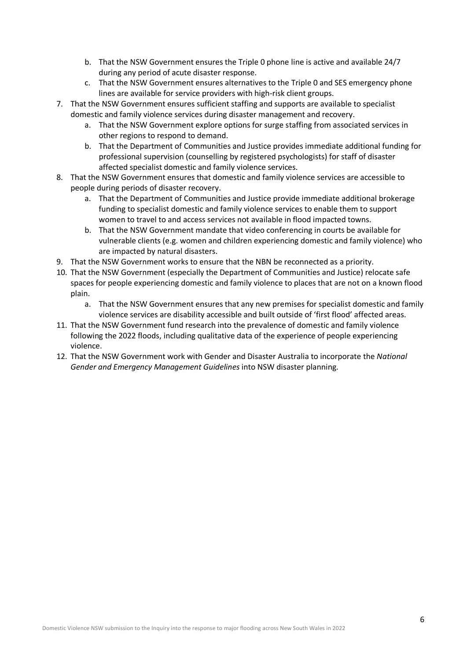- b. That the NSW Government ensures the Triple 0 phone line is active and available 24/7 during any period of acute disaster response.
- c. That the NSW Government ensures alternatives to the Triple 0 and SES emergency phone lines are available for service providers with high-risk client groups.
- 7. That the NSW Government ensures sufficient staffing and supports are available to specialist domestic and family violence services during disaster management and recovery.
	- a. That the NSW Government explore options for surge staffing from associated services in other regions to respond to demand.
	- b. That the Department of Communities and Justice provides immediate additional funding for professional supervision (counselling by registered psychologists) for staff of disaster affected specialist domestic and family violence services.
- 8. That the NSW Government ensures that domestic and family violence services are accessible to people during periods of disaster recovery.
	- a. That the Department of Communities and Justice provide immediate additional brokerage funding to specialist domestic and family violence services to enable them to support women to travel to and access services not available in flood impacted towns.
	- b. That the NSW Government mandate that video conferencing in courts be available for vulnerable clients (e.g. women and children experiencing domestic and family violence) who are impacted by natural disasters.
- 9. That the NSW Government works to ensure that the NBN be reconnected as a priority.
- 10. That the NSW Government (especially the Department of Communities and Justice) relocate safe spaces for people experiencing domestic and family violence to places that are not on a known flood plain.
	- a. That the NSW Government ensures that any new premises for specialist domestic and family violence services are disability accessible and built outside of 'first flood' affected areas.
- 11. That the NSW Government fund research into the prevalence of domestic and family violence following the 2022 floods, including qualitative data of the experience of people experiencing violence.
- 12. That the NSW Government work with Gender and Disaster Australia to incorporate the *National Gender and Emergency Management Guidelines*into NSW disaster planning.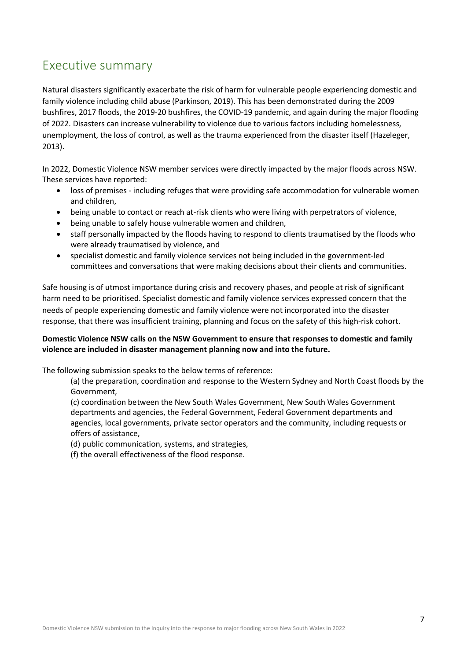# <span id="page-6-0"></span>Executive summary

Natural disasters significantly exacerbate the risk of harm for vulnerable people experiencing domestic and family violence including child abuse (Parkinson, 2019). This has been demonstrated during the 2009 bushfires, 2017 floods, the 2019-20 bushfires, the COVID-19 pandemic, and again during the major flooding of 2022. Disasters can increase vulnerability to violence due to various factors including homelessness, unemployment, the loss of control, as well as the trauma experienced from the disaster itself (Hazeleger, 2013).

In 2022, Domestic Violence NSW member services were directly impacted by the major floods across NSW. These services have reported:

- loss of premises including refuges that were providing safe accommodation for vulnerable women and children,
- being unable to contact or reach at-risk clients who were living with perpetrators of violence,
- being unable to safely house vulnerable women and children,
- staff personally impacted by the floods having to respond to clients traumatised by the floods who were already traumatised by violence, and
- specialist domestic and family violence services not being included in the government-led committees and conversations that were making decisions about their clients and communities.

Safe housing is of utmost importance during crisis and recovery phases, and people at risk of significant harm need to be prioritised. Specialist domestic and family violence services expressed concern that the needs of people experiencing domestic and family violence were not incorporated into the disaster response, that there was insufficient training, planning and focus on the safety of this high-risk cohort.

#### **Domestic Violence NSW calls on the NSW Government to ensure that responses to domestic and family violence are included in disaster management planning now and into the future.**

The following submission speaks to the below terms of reference:

(a) the preparation, coordination and response to the Western Sydney and North Coast floods by the Government,

(c) coordination between the New South Wales Government, New South Wales Government departments and agencies, the Federal Government, Federal Government departments and agencies, local governments, private sector operators and the community, including requests or offers of assistance,

(d) public communication, systems, and strategies,

(f) the overall effectiveness of the flood response.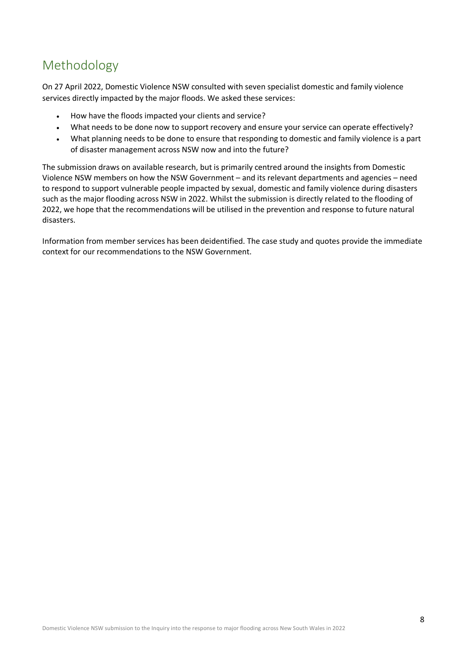# <span id="page-7-0"></span>Methodology

On 27 April 2022, Domestic Violence NSW consulted with seven specialist domestic and family violence services directly impacted by the major floods. We asked these services:

- How have the floods impacted your clients and service?
- What needs to be done now to support recovery and ensure your service can operate effectively?
- What planning needs to be done to ensure that responding to domestic and family violence is a part of disaster management across NSW now and into the future?

The submission draws on available research, but is primarily centred around the insights from Domestic Violence NSW members on how the NSW Government – and its relevant departments and agencies – need to respond to support vulnerable people impacted by sexual, domestic and family violence during disasters such as the major flooding across NSW in 2022. Whilst the submission is directly related to the flooding of 2022, we hope that the recommendations will be utilised in the prevention and response to future natural disasters.

Information from member services has been deidentified. The case study and quotes provide the immediate context for our recommendations to the NSW Government.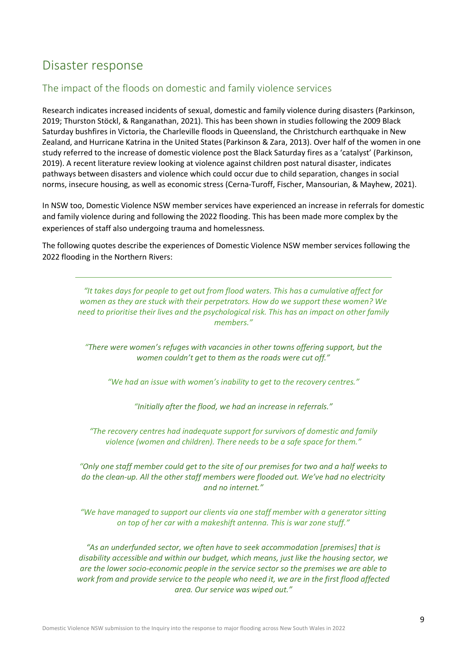# <span id="page-8-0"></span>Disaster response

### <span id="page-8-1"></span>The impact of the floods on domestic and family violence services

Research indicates increased incidents of sexual, domestic and family violence during disasters (Parkinson, 2019; Thurston Stöckl, & Ranganathan, 2021). This has been shown in studies following the 2009 Black Saturday bushfires in Victoria, the Charleville floods in Queensland, the Christchurch earthquake in New Zealand, and Hurricane Katrina in the United States(Parkinson & Zara, 2013). Over half of the women in one study referred to the increase of domestic violence post the Black Saturday fires as a 'catalyst' (Parkinson, 2019). A recent literature review looking at violence against children post natural disaster, indicates pathways between disasters and violence which could occur due to child separation, changes in social norms, insecure housing, as well as economic stress (Cerna-Turoff, Fischer, Mansourian, & Mayhew, 2021).

In NSW too, Domestic Violence NSW member services have experienced an increase in referrals for domestic and family violence during and following the 2022 flooding. This has been made more complex by the experiences of staff also undergoing trauma and homelessness.

The following quotes describe the experiences of Domestic Violence NSW member services following the 2022 flooding in the Northern Rivers:

*"It takes days for people to get out from flood waters. This has a cumulative affect for women as they are stuck with their perpetrators. How do we support these women? We need to prioritise their lives and the psychological risk. This has an impact on other family members."*

*"There were women's refuges with vacancies in other towns offering support, but the women couldn't get to them as the roads were cut off."*

*"We had an issue with women's inability to get to the recovery centres."*

*"Initially after the flood, we had an increase in referrals."*

*"The recovery centres had inadequate support for survivors of domestic and family violence (women and children). There needs to be a safe space for them."*

*"Only one staff member could get to the site of our premises for two and a half weeks to do the clean-up. All the other staff members were flooded out. We've had no electricity and no internet."*

*"We have managed to support our clients via one staff member with a generator sitting on top of her car with a makeshift antenna. This is war zone stuff."*

*"As an underfunded sector, we often have to seek accommodation [premises] that is disability accessible and within our budget, which means, just like the housing sector, we are the lower socio-economic people in the service sector so the premises we are able to work from and provide service to the people who need it, we are in the first flood affected area. Our service was wiped out."*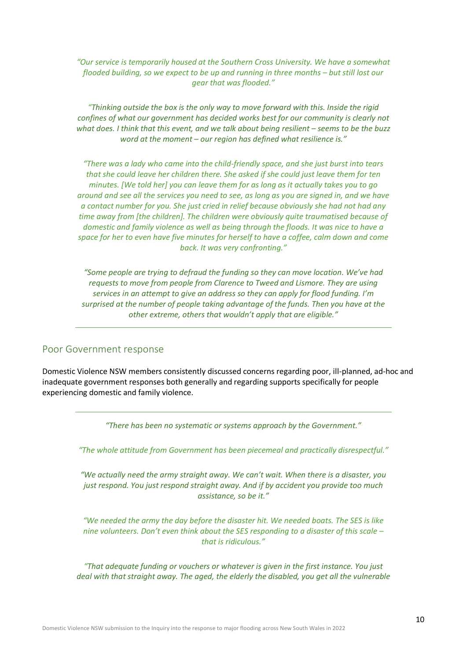*"Our service is temporarily housed at the Southern Cross University. We have a somewhat flooded building, so we expect to be up and running in three months – but still lost our gear that was flooded."*

*"Thinking outside the box is the only way to move forward with this. Inside the rigid confines of what our government has decided works best for our community is clearly not what does. I think that this event, and we talk about being resilient – seems to be the buzz word at the moment – our region has defined what resilience is."*

*"There was a lady who came into the child-friendly space, and she just burst into tears that she could leave her children there. She asked if she could just leave them for ten minutes. [We told her] you can leave them for as long as it actually takes you to go around and see all the services you need to see, as long as you are signed in, and we have a contact number for you. She just cried in relief because obviously she had not had any time away from [the children]. The children were obviously quite traumatised because of domestic and family violence as well as being through the floods. It was nice to have a space for her to even have five minutes for herself to have a coffee, calm down and come back. It was very confronting."*

*"Some people are trying to defraud the funding so they can move location. We've had requests to move from people from Clarence to Tweed and Lismore. They are using services in an attempt to give an address so they can apply for flood funding. I'm surprised at the number of people taking advantage of the funds. Then you have at the other extreme, others that wouldn't apply that are eligible."*

#### <span id="page-9-0"></span>Poor Government response

Domestic Violence NSW members consistently discussed concerns regarding poor, ill-planned, ad-hoc and inadequate government responses both generally and regarding supports specifically for people experiencing domestic and family violence.

*"There has been no systematic or systems approach by the Government."*

*"The whole attitude from Government has been piecemeal and practically disrespectful."*

*"We actually need the army straight away. We can't wait. When there is a disaster, you just respond. You just respond straight away. And if by accident you provide too much assistance, so be it."* 

*"We needed the army the day before the disaster hit. We needed boats. The SES is like nine volunteers. Don't even think about the SES responding to a disaster of this scale – that is ridiculous."* 

*"That adequate funding or vouchers or whatever is given in the first instance. You just deal with that straight away. The aged, the elderly the disabled, you get all the vulnerable*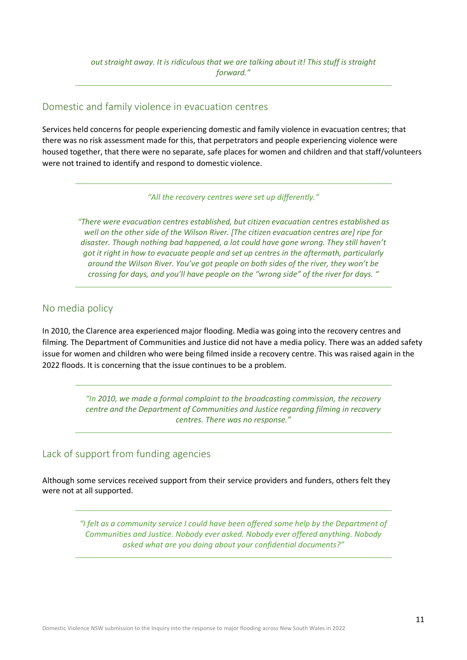#### <span id="page-10-0"></span>Domestic and family violence in evacuation centres

Services held concerns for people experiencing domestic and family violence in evacuation centres; that there was no risk assessment made for this, that perpetrators and people experiencing violence were housed together, that there were no separate, safe places for women and children and that staff/volunteers were not trained to identify and respond to domestic violence.

*"All the recovery centres were set up differently."*

*"There were evacuation centres established, but citizen evacuation centres established as well on the other side of the Wilson River. [The citizen evacuation centres are] ripe for disaster. Though nothing bad happened, a lot could have gone wrong. They still haven't got it right in how to evacuate people and set up centres in the aftermath, particularly around the Wilson River. You've got people on both sides of the river, they won't be crossing for days, and you'll have people on the "wrong side" of the river for days. "*

### <span id="page-10-1"></span>No media policy

In 2010, the Clarence area experienced major flooding. Media was going into the recovery centres and filming. The Department of Communities and Justice did not have a media policy. There was an added safety issue for women and children who were being filmed inside a recovery centre. This was raised again in the 2022 floods. It is concerning that the issue continues to be a problem.

> *"In 2010, we made a formal complaint to the broadcasting commission, the recovery centre and the Department of Communities and Justice regarding filming in recovery centres. There was no response."*

### <span id="page-10-2"></span>Lack of support from funding agencies

Although some services received support from their service providers and funders, others felt they were not at all supported.

> *"I felt as a community service I could have been offered some help by the Department of Communities and Justice. Nobody ever asked. Nobody ever offered anything. Nobody asked what are you doing about your confidential documents?"*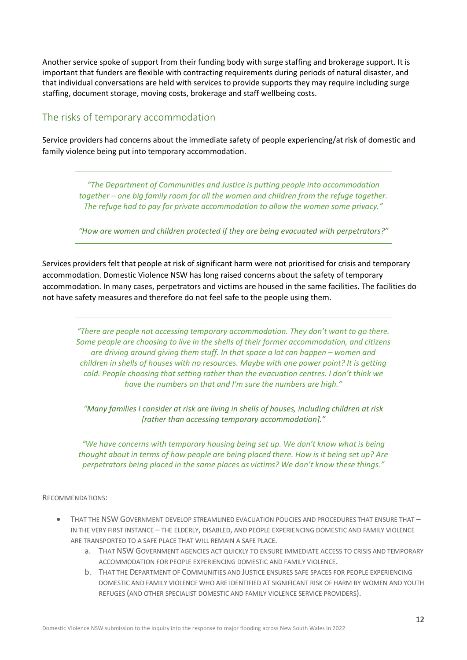<span id="page-11-0"></span>Another service spoke of support from their funding body with surge staffing and brokerage support. It is important that funders are flexible with contracting requirements during periods of natural disaster, and that individual conversations are held with services to provide supports they may require including surge staffing, document storage, moving costs, brokerage and staff wellbeing costs.

### The risks of temporary accommodation

Service providers had concerns about the immediate safety of people experiencing/at risk of domestic and family violence being put into temporary accommodation.

> *"The Department of Communities and Justice is putting people into accommodation together – one big family room for all the women and children from the refuge together. The refuge had to pay for private accommodation to allow the women some privacy."*

> *"How are women and children protected if they are being evacuated with perpetrators?"*

Services providers felt that people at risk of significant harm were not prioritised for crisis and temporary accommodation. Domestic Violence NSW has long raised concerns about the safety of temporary accommodation. In many cases, perpetrators and victims are housed in the same facilities. The facilities do not have safety measures and therefore do not feel safe to the people using them.

*"There are people not accessing temporary accommodation. They don't want to go there. Some people are choosing to live in the shells of their former accommodation, and citizens are driving around giving them stuff. In that space a lot can happen – women and children in shells of houses with no resources. Maybe with one power point? It is getting cold. People choosing that setting rather than the evacuation centres. I don't think we have the numbers on that and I'm sure the numbers are high."*

*"Many families I consider at risk are living in shells of houses, including children at risk [rather than accessing temporary accommodation]."*

*"We have concerns with temporary housing being set up. We don't know what is being thought about in terms of how people are being placed there. How is it being set up? Are perpetrators being placed in the same places as victims? We don't know these things."* 

#### RECOMMENDATIONS:

- THAT THE NSW GOVERNMENT DEVELOP STREAMLINED EVACUATION POLICIES AND PROCEDURES THAT ENSURE THAT -IN THE VERY FIRST INSTANCE – THE ELDERLY, DISABLED, AND PEOPLE EXPERIENCING DOMESTIC AND FAMILY VIOLENCE ARE TRANSPORTED TO A SAFE PLACE THAT WILL REMAIN A SAFE PLACE.
	- a. THAT NSW GOVERNMENT AGENCIES ACT QUICKLY TO ENSURE IMMEDIATE ACCESS TO CRISIS AND TEMPORARY ACCOMMODATION FOR PEOPLE EXPERIENCING DOMESTIC AND FAMILY VIOLENCE.
	- b. THAT THE DEPARTMENT OF COMMUNITIES AND JUSTICE ENSURES SAFE SPACES FOR PEOPLE EXPERIENCING DOMESTIC AND FAMILY VIOLENCE WHO ARE IDENTIFIED AT SIGNIFICANT RISK OF HARM BY WOMEN AND YOUTH REFUGES (AND OTHER SPECIALIST DOMESTIC AND FAMILY VIOLENCE SERVICE PROVIDERS).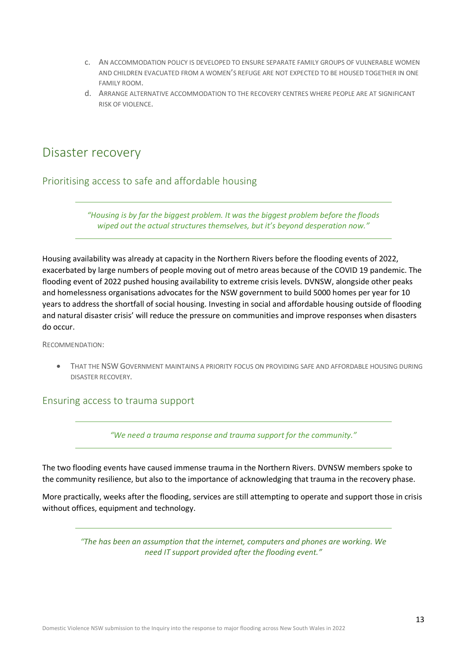- c. AN ACCOMMODATION POLICY IS DEVELOPED TO ENSURE SEPARATE FAMILY GROUPS OF VULNERABLE WOMEN AND CHILDREN EVACUATED FROM A WOMEN'S REFUGE ARE NOT EXPECTED TO BE HOUSED TOGETHER IN ONE FAMILY ROOM.
- d. ARRANGE ALTERNATIVE ACCOMMODATION TO THE RECOVERY CENTRES WHERE PEOPLE ARE AT SIGNIFICANT RISK OF VIOLENCE.

# <span id="page-12-0"></span>Disaster recovery

<span id="page-12-1"></span>Prioritising access to safe and affordable housing

*"Housing is by far the biggest problem. It was the biggest problem before the floods wiped out the actual structures themselves, but it's beyond desperation now."*

Housing availability was already at capacity in the Northern Rivers before the flooding events of 2022, exacerbated by large numbers of people moving out of metro areas because of the COVID 19 pandemic. The flooding event of 2022 pushed housing availability to extreme crisis levels. DVNSW, alongside other peaks and homelessness organisations advocates for the NSW government to build 5000 homes per year for 10 years to address the shortfall of social housing. Investing in social and affordable housing outside of flooding and natural disaster crisis' will reduce the pressure on communities and improve responses when disasters do occur.

#### RECOMMENDATION:

• THAT THE NSW GOVERNMENT MAINTAINS A PRIORITY FOCUS ON PROVIDING SAFE AND AFFORDABLE HOUSING DURING DISASTER RECOVERY.

#### <span id="page-12-2"></span>Ensuring access to trauma support

*"We need a trauma response and trauma support for the community."*

The two flooding events have caused immense trauma in the Northern Rivers. DVNSW members spoke to the community resilience, but also to the importance of acknowledging that trauma in the recovery phase.

More practically, weeks after the flooding, services are still attempting to operate and support those in crisis without offices, equipment and technology.

> *"The has been an assumption that the internet, computers and phones are working. We need IT support provided after the flooding event."*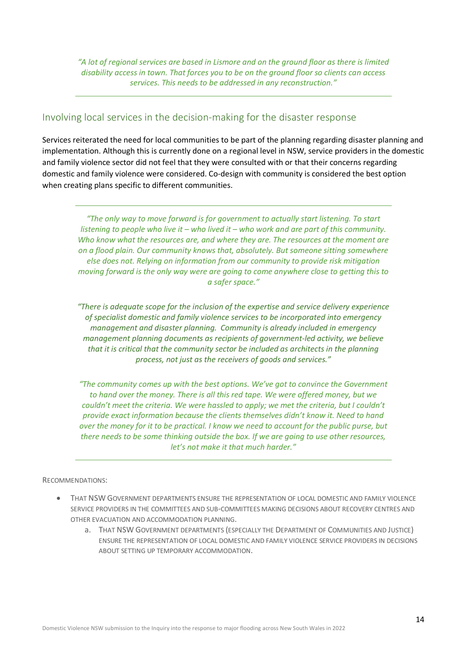*"A lot of regional services are based in Lismore and on the ground floor as there is limited disability access in town. That forces you to be on the ground floor so clients can access services. This needs to be addressed in any reconstruction."*

### <span id="page-13-0"></span>Involving local services in the decision-making for the disaster response

Services reiterated the need for local communities to be part of the planning regarding disaster planning and implementation. Although this is currently done on a regional level in NSW, service providers in the domestic and family violence sector did not feel that they were consulted with or that their concerns regarding domestic and family violence were considered. Co-design with community is considered the best option when creating plans specific to different communities.

*"The only way to move forward is for government to actually start listening. To start listening to people who live it – who lived it – who work and are part of this community. Who know what the resources are, and where they are. The resources at the moment are on a flood plain. Our community knows that, absolutely. But someone sitting somewhere else does not. Relying on information from our community to provide risk mitigation moving forward is the only way were are going to come anywhere close to getting this to a safer space."*

*"There is adequate scope for the inclusion of the expertise and service delivery experience of specialist domestic and family violence services to be incorporated into emergency management and disaster planning. Community is already included in emergency management planning documents as recipients of government-led activity, we believe that it is critical that the community sector be included as architects in the planning process, not just as the receivers of goods and services."* 

*"The community comes up with the best options. We've got to convince the Government to hand over the money. There is all this red tape. We were offered money, but we couldn't meet the criteria. We were hassled to apply; we met the criteria, but I couldn't provide exact information because the clients themselves didn't know it. Need to hand over the money for it to be practical. I know we need to account for the public purse, but there needs to be some thinking outside the box. If we are going to use other resources, let's not make it that much harder."*

#### RECOMMENDATIONS:

- THAT NSW GOVERNMENT DEPARTMENTS ENSURE THE REPRESENTATION OF LOCAL DOMESTIC AND FAMILY VIOLENCE SERVICE PROVIDERS IN THE COMMITTEES AND SUB-COMMITTEES MAKING DECISIONS ABOUT RECOVERY CENTRES AND OTHER EVACUATION AND ACCOMMODATION PLANNING.
	- a. THAT NSW GOVERNMENT DEPARTMENTS (ESPECIALLY THE DEPARTMENT OF COMMUNITIES AND JUSTICE) ENSURE THE REPRESENTATION OF LOCAL DOMESTIC AND FAMILY VIOLENCE SERVICE PROVIDERS IN DECISIONS ABOUT SETTING UP TEMPORARY ACCOMMODATION.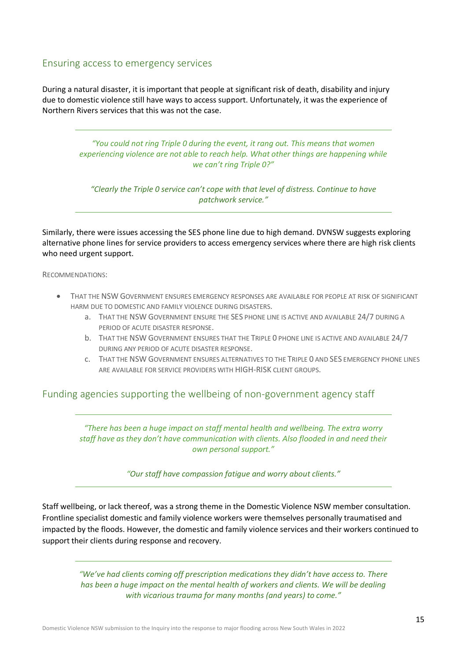#### <span id="page-14-0"></span>Ensuring access to emergency services

During a natural disaster, it is important that people at significant risk of death, disability and injury due to domestic violence still have ways to access support. Unfortunately, it was the experience of Northern Rivers services that this was not the case.

> *"You could not ring Triple 0 during the event, it rang out. This means that women experiencing violence are not able to reach help. What other things are happening while we can't ring Triple 0?"*

*"Clearly the Triple 0 service can't cope with that level of distress. Continue to have patchwork service."*

Similarly, there were issues accessing the SES phone line due to high demand. DVNSW suggests exploring alternative phone lines for service providers to access emergency services where there are high risk clients who need urgent support.

RECOMMENDATIONS:

- THAT THE NSW GOVERNMENT ENSURES EMERGENCY RESPONSES ARE AVAILABLE FOR PEOPLE AT RISK OF SIGNIFICANT HARM DUE TO DOMESTIC AND FAMILY VIOLENCE DURING DISASTERS.
	- a. THAT THE NSW GOVERNMENT ENSURE THE SES PHONE LINE IS ACTIVE AND AVAILABLE 24/7 DURING A PERIOD OF ACUTE DISASTER RESPONSE.
	- b. THAT THE NSW GOVERNMENT ENSURES THAT THE TRIPLE 0 PHONE LINE IS ACTIVE AND AVAILABLE 24/7 DURING ANY PERIOD OF ACUTE DISASTER RESPONSE.
	- c. THAT THE NSW GOVERNMENT ENSURES ALTERNATIVES TO THE TRIPLE 0 AND SES EMERGENCY PHONE LINES ARE AVAILABLE FOR SERVICE PROVIDERS WITH HIGH-RISK CLIENT GROUPS.

#### <span id="page-14-1"></span>Funding agencies supporting the wellbeing of non-government agency staff

*"There has been a huge impact on staff mental health and wellbeing. The extra worry staff have as they don't have communication with clients. Also flooded in and need their own personal support."*

*"Our staff have compassion fatigue and worry about clients."*

Staff wellbeing, or lack thereof, was a strong theme in the Domestic Violence NSW member consultation. Frontline specialist domestic and family violence workers were themselves personally traumatised and impacted by the floods. However, the domestic and family violence services and their workers continued to support their clients during response and recovery.

*"We've had clients coming off prescription medications they didn't have access to. There*  has been a huge impact on the mental health of workers and clients. We will be dealing *with vicarious trauma for many months (and years) to come."*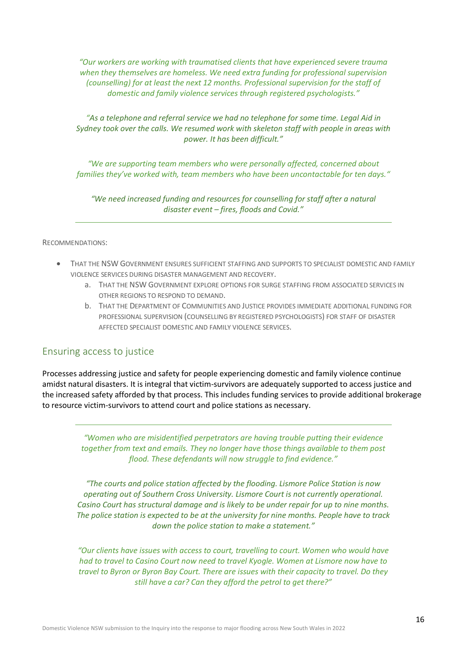*"Our workers are working with traumatised clients that have experienced severe trauma when they themselves are homeless. We need extra funding for professional supervision (counselling) for at least the next 12 months. Professional supervision for the staff of domestic and family violence services through registered psychologists."*

*"As a telephone and referral service we had no telephone for some time. Legal Aid in Sydney took over the calls. We resumed work with skeleton staff with people in areas with power. It has been difficult."*

*"We are supporting team members who were personally affected, concerned about families they've worked with, team members who have been uncontactable for ten days."*

*"We need increased funding and resources for counselling for staff after a natural disaster event – fires, floods and Covid."*

#### RECOMMENDATIONS:

- THAT THE NSW GOVERNMENT ENSURES SUFFICIENT STAFFING AND SUPPORTS TO SPECIALIST DOMESTIC AND FAMILY VIOLENCE SERVICES DURING DISASTER MANAGEMENT AND RECOVERY.
	- a. THAT THE NSW GOVERNMENT EXPLORE OPTIONS FOR SURGE STAFFING FROM ASSOCIATED SERVICES IN OTHER REGIONS TO RESPOND TO DEMAND.
	- b. THAT THE DEPARTMENT OF COMMUNITIES AND JUSTICE PROVIDES IMMEDIATE ADDITIONAL FUNDING FOR PROFESSIONAL SUPERVISION (COUNSELLING BY REGISTERED PSYCHOLOGISTS) FOR STAFF OF DISASTER AFFECTED SPECIALIST DOMESTIC AND FAMILY VIOLENCE SERVICES.

#### <span id="page-15-0"></span>Ensuring access to justice

Processes addressing justice and safety for people experiencing domestic and family violence continue amidst natural disasters. It is integral that victim-survivors are adequately supported to access justice and the increased safety afforded by that process. This includes funding services to provide additional brokerage to resource victim-survivors to attend court and police stations as necessary.

> *"Women who are misidentified perpetrators are having trouble putting their evidence together from text and emails. They no longer have those things available to them post flood. These defendants will now struggle to find evidence."*

*"The courts and police station affected by the flooding. Lismore Police Station is now operating out of Southern Cross University. Lismore Court is not currently operational. Casino Court has structural damage and is likely to be under repair for up to nine months. The police station is expected to be at the university for nine months. People have to track down the police station to make a statement."*

*"Our clients have issues with access to court, travelling to court. Women who would have had to travel to Casino Court now need to travel Kyogle. Women at Lismore now have to travel to Byron or Byron Bay Court. There are issues with their capacity to travel. Do they still have a car? Can they afford the petrol to get there?"*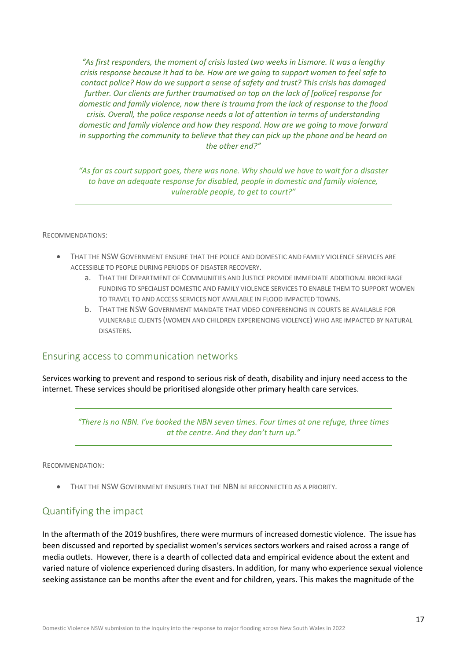*"As first responders, the moment of crisis lasted two weeks in Lismore. It was a lengthy crisis response because it had to be. How are we going to support women to feel safe to contact police? How do we support a sense of safety and trust? This crisis has damaged further. Our clients are further traumatised on top on the lack of [police] response for domestic and family violence, now there is trauma from the lack of response to the flood crisis. Overall, the police response needs a lot of attention in terms of understanding domestic and family violence and how they respond. How are we going to move forward in supporting the community to believe that they can pick up the phone and be heard on the other end?"*

*"As far as court support goes, there was none. Why should we have to wait for a disaster to have an adequate response for disabled, people in domestic and family violence, vulnerable people, to get to court?"*

#### RECOMMENDATIONS:

- THAT THE NSW GOVERNMENT ENSURE THAT THE POLICE AND DOMESTIC AND FAMILY VIOLENCE SERVICES ARE ACCESSIBLE TO PEOPLE DURING PERIODS OF DISASTER RECOVERY.
	- a. THAT THE DEPARTMENT OF COMMUNITIES AND JUSTICE PROVIDE IMMEDIATE ADDITIONAL BROKERAGE FUNDING TO SPECIALIST DOMESTIC AND FAMILY VIOLENCE SERVICES TO ENABLE THEM TO SUPPORT WOMEN TO TRAVEL TO AND ACCESS SERVICES NOT AVAILABLE IN FLOOD IMPACTED TOWNS.
	- b. THAT THE NSW GOVERNMENT MANDATE THAT VIDEO CONFERENCING IN COURTS BE AVAILABLE FOR VULNERABLE CLIENTS (WOMEN AND CHILDREN EXPERIENCING VIOLENCE) WHO ARE IMPACTED BY NATURAL DISASTERS.

#### <span id="page-16-0"></span>Ensuring access to communication networks

Services working to prevent and respond to serious risk of death, disability and injury need access to the internet. These services should be prioritised alongside other primary health care services.

*"There is no NBN. I've booked the NBN seven times. Four times at one refuge, three times at the centre. And they don't turn up."*

RECOMMENDATION:

• THAT THE NSW GOVERNMENT ENSURES THAT THE NBN BE RECONNECTED AS A PRIORITY.

#### <span id="page-16-1"></span>Quantifying the impact

In the aftermath of the 2019 bushfires, there were murmurs of increased domestic violence. The issue has been discussed and reported by specialist women's services sectors workers and raised across a range of media outlets. However, there is a dearth of collected data and empirical evidence about the extent and varied nature of violence experienced during disasters. In addition, for many who experience sexual violence seeking assistance can be months after the event and for children, years. This makes the magnitude of the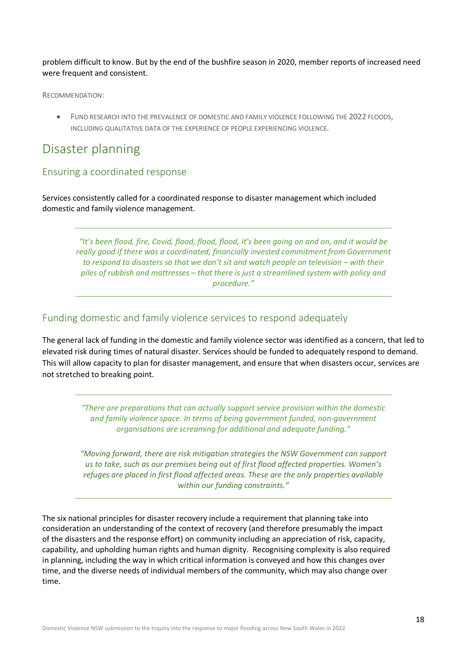problem difficult to know. But by the end of the bushfire season in 2020, member reports of increased need were frequent and consistent.

RECOMMENDATION:

• FUND RESEARCH INTO THE PREVALENCE OF DOMESTIC AND FAMILY VIOLENCE FOLLOWING THE 2022 FLOODS, INCLUDING QUALITATIVE DATA OF THE EXPERIENCE OF PEOPLE EXPERIENCING VIOLENCE.

# <span id="page-17-0"></span>Disaster planning

#### <span id="page-17-1"></span>Ensuring a coordinated response

Services consistently called for a coordinated response to disaster management which included domestic and family violence management.

> *"It's been flood, fire, Covid, flood, flood, flood, it's been going on and on, and it would be really good if there was a coordinated, financially invested commitment from Government to respond to disasters so that we don't sit and watch people on television – with their piles of rubbish and mattresses – that there is just a streamlined system with policy and procedure."*

#### <span id="page-17-2"></span>Funding domestic and family violence services to respond adequately

The general lack of funding in the domestic and family violence sector was identified as a concern, that led to elevated risk during times of natural disaster. Services should be funded to adequately respond to demand. This will allow capacity to plan for disaster management, and ensure that when disasters occur, services are not stretched to breaking point.

> *"There are preparations that can actually support service provision within the domestic and family violence space. In terms of being government funded, non-government organisations are screaming for additional and adequate funding."*

> *"Moving forward, there are risk mitigation strategies the NSW Government can support us to take, such as our premises being out of first flood affected properties. Women's refuges are placed in first flood affected areas. These are the only properties available within our funding constraints."*

The six national principles for disaster recovery include a requirement that planning take into consideration an understanding of the context of recovery (and therefore presumably the impact of the disasters and the response effort) on community including an appreciation of risk, capacity, capability, and upholding human rights and human dignity. Recognising complexity is also required in planning, including the way in which critical information is conveyed and how this changes over time, and the diverse needs of individual members of the community, which may also change over time.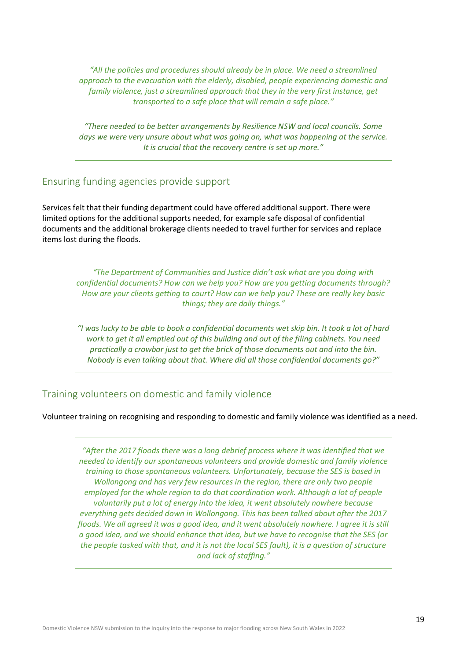*"All the policies and procedures should already be in place. We need a streamlined approach to the evacuation with the elderly, disabled, people experiencing domestic and family violence, just a streamlined approach that they in the very first instance, get transported to a safe place that will remain a safe place."*

*"There needed to be better arrangements by Resilience NSW and local councils. Some days we were very unsure about what was going on, what was happening at the service. It is crucial that the recovery centre is set up more."* 

#### <span id="page-18-0"></span>Ensuring funding agencies provide support

Services felt that their funding department could have offered additional support. There were limited options for the additional supports needed, for example safe disposal of confidential documents and the additional brokerage clients needed to travel further for services and replace items lost during the floods.

*"The Department of Communities and Justice didn't ask what are you doing with confidential documents? How can we help you? How are you getting documents through? How are your clients getting to court? How can we help you? These are really key basic things; they are daily things."*

*"I was lucky to be able to book a confidential documents wet skip bin. It took a lot of hard work to get it all emptied out of this building and out of the filing cabinets. You need practically a crowbar just to get the brick of those documents out and into the bin. Nobody is even talking about that. Where did all those confidential documents go?"*

#### <span id="page-18-1"></span>Training volunteers on domestic and family violence

Volunteer training on recognising and responding to domestic and family violence was identified as a need.

*"After the 2017 floods there was a long debrief process where it was identified that we needed to identify our spontaneous volunteers and provide domestic and family violence training to those spontaneous volunteers. Unfortunately, because the SES is based in Wollongong and has very few resources in the region, there are only two people employed for the whole region to do that coordination work. Although a lot of people voluntarily put a lot of energy into the idea, it went absolutely nowhere because everything gets decided down in Wollongong. This has been talked about after the 2017 floods. We all agreed it was a good idea, and it went absolutely nowhere. I agree it is still a good idea, and we should enhance that idea, but we have to recognise that the SES (or the people tasked with that, and it is not the local SES fault), it is a question of structure and lack of staffing."*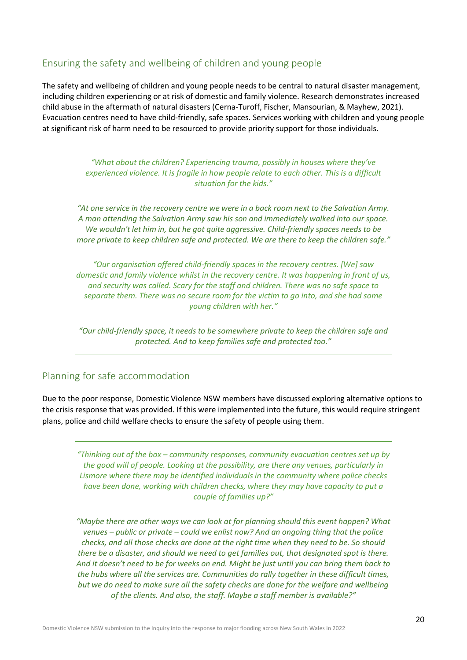### <span id="page-19-0"></span>Ensuring the safety and wellbeing of children and young people

The safety and wellbeing of children and young people needs to be central to natural disaster management, including children experiencing or at risk of domestic and family violence. Research demonstrates increased child abuse in the aftermath of natural disasters (Cerna-Turoff, Fischer, Mansourian, & Mayhew, 2021). Evacuation centres need to have child-friendly, safe spaces. Services working with children and young people at significant risk of harm need to be resourced to provide priority support for those individuals.

> *"What about the children? Experiencing trauma, possibly in houses where they've experienced violence. It is fragile in how people relate to each other. This is a difficult situation for the kids."*

*"At one service in the recovery centre we were in a back room next to the Salvation Army. A man attending the Salvation Army saw his son and immediately walked into our space. We wouldn't let him in, but he got quite aggressive. Child-friendly spaces needs to be more private to keep children safe and protected. We are there to keep the children safe."*

*"Our organisation offered child-friendly spaces in the recovery centres. [We] saw domestic and family violence whilst in the recovery centre. It was happening in front of us, and security was called. Scary for the staff and children. There was no safe space to separate them. There was no secure room for the victim to go into, and she had some young children with her."*

*"Our child-friendly space, it needs to be somewhere private to keep the children safe and protected. And to keep families safe and protected too."*

### <span id="page-19-1"></span>Planning for safe accommodation

Due to the poor response, Domestic Violence NSW members have discussed exploring alternative options to the crisis response that was provided. If this were implemented into the future, this would require stringent plans, police and child welfare checks to ensure the safety of people using them.

*"Thinking out of the box – community responses, community evacuation centres set up by the good will of people. Looking at the possibility, are there any venues, particularly in Lismore where there may be identified individuals in the community where police checks have been done, working with children checks, where they may have capacity to put a couple of families up?"*

*"Maybe there are other ways we can look at for planning should this event happen? What venues – public or private – could we enlist now? And an ongoing thing that the police checks, and all those checks are done at the right time when they need to be. So should there be a disaster, and should we need to get families out, that designated spot is there. And it doesn't need to be for weeks on end. Might be just until you can bring them back to the hubs where all the services are. Communities do rally together in these difficult times, but we do need to make sure all the safety checks are done for the welfare and wellbeing of the clients. And also, the staff. Maybe a staff member is available?"*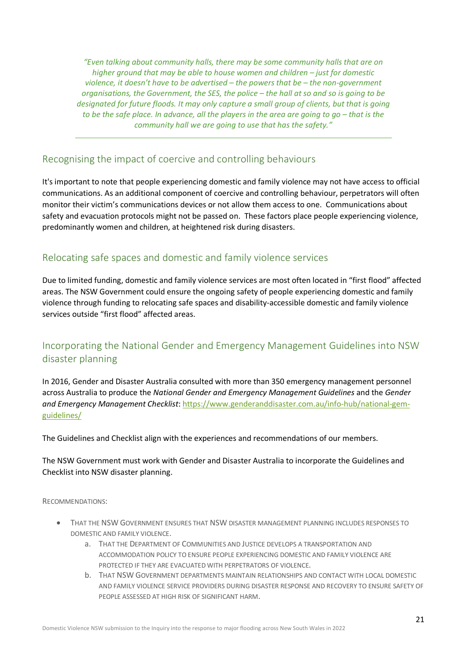*"Even talking about community halls, there may be some community halls that are on higher ground that may be able to house women and children – just for domestic violence, it doesn't have to be advertised – the powers that be – the non-government organisations, the Government, the SES, the police – the hall at so and so is going to be designated for future floods. It may only capture a small group of clients, but that is going to be the safe place. In advance, all the players in the area are going to go – that is the community hall we are going to use that has the safety."*

### <span id="page-20-0"></span>Recognising the impact of coercive and controlling behaviours

It's important to note that people experiencing domestic and family violence may not have access to official communications. As an additional component of coercive and controlling behaviour, perpetrators will often monitor their victim's communications devices or not allow them access to one. Communications about safety and evacuation protocols might not be passed on. These factors place people experiencing violence, predominantly women and children, at heightened risk during disasters.

### <span id="page-20-1"></span>Relocating safe spaces and domestic and family violence services

Due to limited funding, domestic and family violence services are most often located in "first flood" affected areas. The NSW Government could ensure the ongoing safety of people experiencing domestic and family violence through funding to relocating safe spaces and disability-accessible domestic and family violence services outside "first flood" affected areas.

### <span id="page-20-2"></span>Incorporating the National Gender and Emergency Management Guidelines into NSW disaster planning

In 2016, Gender and Disaster Australia consulted with more than 350 emergency management personnel across Australia to produce the *National Gender and Emergency Management Guidelines* and the *Gender and Emergency Management Checklist*: [https://www.genderanddisaster.com.au/info-hub/national-gem](https://www.genderanddisaster.com.au/info-hub/national-gem-guidelines/)[guidelines/](https://www.genderanddisaster.com.au/info-hub/national-gem-guidelines/)

The Guidelines and Checklist align with the experiences and recommendations of our members.

The NSW Government must work with Gender and Disaster Australia to incorporate the Guidelines and Checklist into NSW disaster planning.

RECOMMENDATIONS:

- THAT THE NSW GOVERNMENT ENSURES THAT NSW DISASTER MANAGEMENT PLANNING INCLUDES RESPONSES TO DOMESTIC AND FAMILY VIOLENCE.
	- a. THAT THE DEPARTMENT OF COMMUNITIES AND JUSTICE DEVELOPS A TRANSPORTATION AND ACCOMMODATION POLICY TO ENSURE PEOPLE EXPERIENCING DOMESTIC AND FAMILY VIOLENCE ARE PROTECTED IF THEY ARE EVACUATED WITH PERPETRATORS OF VIOLENCE.
	- b. THAT NSW GOVERNMENT DEPARTMENTS MAINTAIN RELATIONSHIPS AND CONTACT WITH LOCAL DOMESTIC AND FAMILY VIOLENCE SERVICE PROVIDERS DURING DISASTER RESPONSE AND RECOVERY TO ENSURE SAFETY OF PEOPLE ASSESSED AT HIGH RISK OF SIGNIFICANT HARM.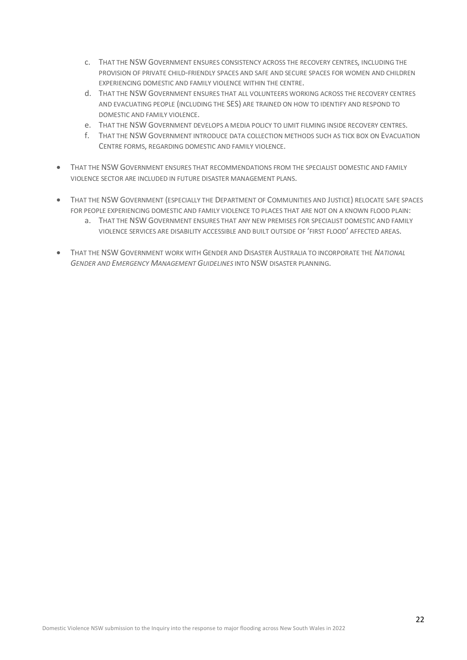- c. THAT THE NSW GOVERNMENT ENSURES CONSISTENCY ACROSS THE RECOVERY CENTRES, INCLUDING THE PROVISION OF PRIVATE CHILD-FRIENDLY SPACES AND SAFE AND SECURE SPACES FOR WOMEN AND CHILDREN EXPERIENCING DOMESTIC AND FAMILY VIOLENCE WITHIN THE CENTRE.
- d. THAT THE NSW GOVERNMENT ENSURES THAT ALL VOLUNTEERS WORKING ACROSS THE RECOVERY CENTRES AND EVACUATING PEOPLE (INCLUDING THE SES) ARE TRAINED ON HOW TO IDENTIFY AND RESPOND TO DOMESTIC AND FAMILY VIOLENCE.
- e. THAT THE NSW GOVERNMENT DEVELOPS A MEDIA POLICY TO LIMIT FILMING INSIDE RECOVERY CENTRES.
- f. THAT THE NSW GOVERNMENT INTRODUCE DATA COLLECTION METHODS SUCH AS TICK BOX ON EVACUATION CENTRE FORMS, REGARDING DOMESTIC AND FAMILY VIOLENCE.
- THAT THE NSW GOVERNMENT ENSURES THAT RECOMMENDATIONS FROM THE SPECIALIST DOMESTIC AND FAMILY VIOLENCE SECTOR ARE INCLUDED IN FUTURE DISASTER MANAGEMENT PLANS.
- THAT THE NSW GOVERNMENT (ESPECIALLY THE DEPARTMENT OF COMMUNITIES AND JUSTICE) RELOCATE SAFE SPACES FOR PEOPLE EXPERIENCING DOMESTIC AND FAMILY VIOLENCE TO PLACES THAT ARE NOT ON A KNOWN FLOOD PLAIN:
	- a. THAT THE NSW GOVERNMENT ENSURES THAT ANY NEW PREMISES FOR SPECIALIST DOMESTIC AND FAMILY VIOLENCE SERVICES ARE DISABILITY ACCESSIBLE AND BUILT OUTSIDE OF 'FIRST FLOOD' AFFECTED AREAS.
- THAT THE NSW GOVERNMENT WORK WITH GENDER AND DISASTER AUSTRALIA TO INCORPORATE THE *NATIONAL GENDER AND EMERGENCY MANAGEMENT GUIDELINES* INTO NSW DISASTER PLANNING.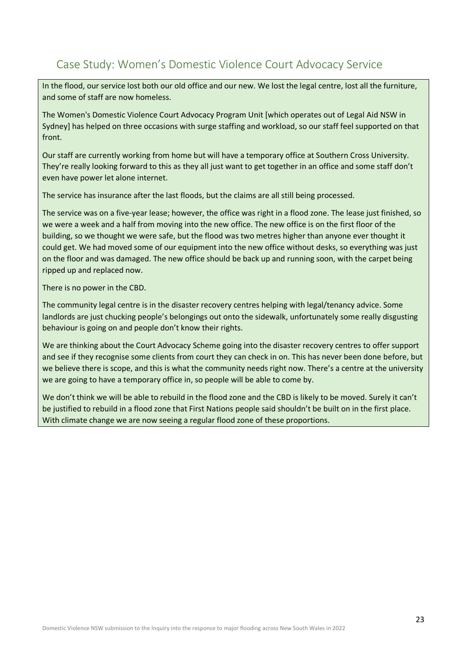## <span id="page-22-0"></span>Case Study: Women's Domestic Violence Court Advocacy Service

In the flood, our service lost both our old office and our new. We lost the legal centre, lost all the furniture, and some of staff are now homeless.

The Women's Domestic Violence Court Advocacy Program Unit [which operates out of Legal Aid NSW in Sydney] has helped on three occasions with surge staffing and workload, so our staff feel supported on that front.

Our staff are currently working from home but will have a temporary office at Southern Cross University. They're really looking forward to this as they all just want to get together in an office and some staff don't even have power let alone internet.

The service has insurance after the last floods, but the claims are all still being processed.

The service was on a five-year lease; however, the office was right in a flood zone. The lease just finished, so we were a week and a half from moving into the new office. The new office is on the first floor of the building, so we thought we were safe, but the flood was two metres higher than anyone ever thought it could get. We had moved some of our equipment into the new office without desks, so everything was just on the floor and was damaged. The new office should be back up and running soon, with the carpet being ripped up and replaced now.

There is no power in the CBD.

The community legal centre is in the disaster recovery centres helping with legal/tenancy advice. Some landlords are just chucking people's belongings out onto the sidewalk, unfortunately some really disgusting behaviour is going on and people don't know their rights.

We are thinking about the Court Advocacy Scheme going into the disaster recovery centres to offer support and see if they recognise some clients from court they can check in on. This has never been done before, but we believe there is scope, and this is what the community needs right now. There's a centre at the university we are going to have a temporary office in, so people will be able to come by.

We don't think we will be able to rebuild in the flood zone and the CBD is likely to be moved. Surely it can't be justified to rebuild in a flood zone that First Nations people said shouldn't be built on in the first place. With climate change we are now seeing a regular flood zone of these proportions.